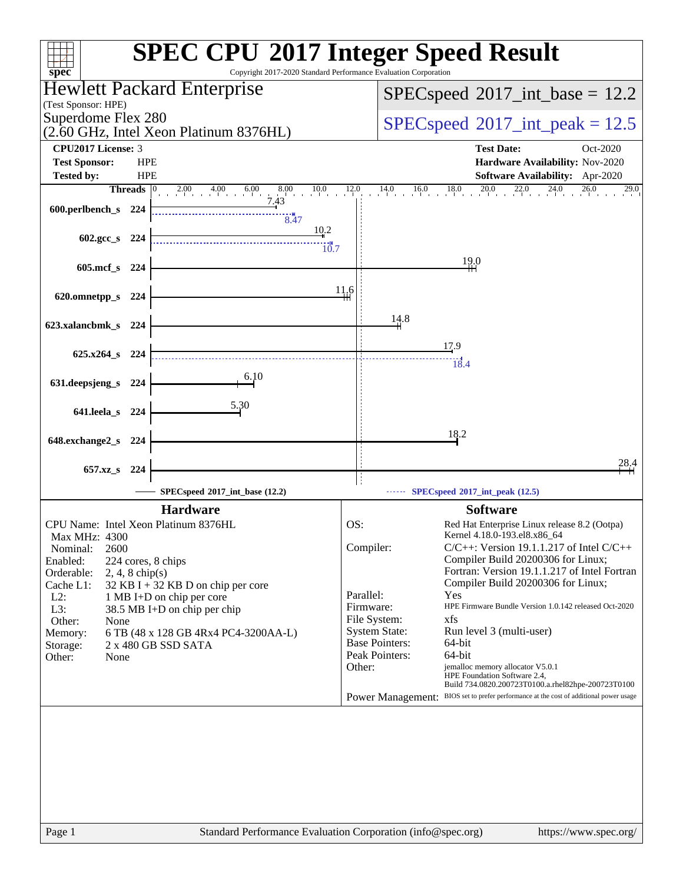| spec <sup>®</sup>                                                                        | <b>SPEC CPU®2017 Integer Speed Result</b><br>Copyright 2017-2020 Standard Performance Evaluation Corporation                     |
|------------------------------------------------------------------------------------------|----------------------------------------------------------------------------------------------------------------------------------|
| Hewlett Packard Enterprise<br>(Test Sponsor: HPE)                                        | $SPEC speed^{\circ}2017\_int\_base = 12.2$                                                                                       |
| Superdome Flex 280<br>(2.60 GHz, Intel Xeon Platinum 8376HL)                             | $SPEC speed^{\circ}2017\_int\_peak = 12.5$                                                                                       |
| <b>CPU2017 License: 3</b>                                                                | <b>Test Date:</b><br>Oct-2020                                                                                                    |
| <b>Test Sponsor:</b><br><b>HPE</b><br><b>Tested by:</b><br><b>HPE</b>                    | Hardware Availability: Nov-2020<br><b>Software Availability:</b> Apr-2020                                                        |
| <b>Threads</b><br>$2.00 \t 4.00 \t 6.00 \t 8$<br>8.00<br>$\frac{10.0}{1}$                | $14.0$ $16.0$ $18.0$ $20.0$ $22.0$ $24.0$ $26.0$<br>12.0<br>29.0                                                                 |
| 7.43<br>600.perlbench_s 224<br>8.47                                                      |                                                                                                                                  |
| 10.2<br>602.gcc_s 224<br>10.7                                                            |                                                                                                                                  |
| $605$ .mcf_s<br>224                                                                      | 19.0                                                                                                                             |
| 620.omnetpp_s 224                                                                        | 11.6                                                                                                                             |
| 623.xalancbmk_s 224                                                                      | 14.8                                                                                                                             |
| $625.x264$ s 224                                                                         | 17.9<br>18.4                                                                                                                     |
| 6.10<br>631.deepsjeng_s<br>224                                                           |                                                                                                                                  |
| 5.30<br>641.leela_s 224                                                                  |                                                                                                                                  |
| 648.exchange2_s 224                                                                      | 18.2                                                                                                                             |
| 657.xz <sub>_8</sub> 224                                                                 | 28,4                                                                                                                             |
| SPECspeed®2017_int_base (12.2)                                                           | $\cdots$ SPECspeed <sup>®</sup> 2017_int_peak (12.5)                                                                             |
| <b>Hardware</b>                                                                          | <b>Software</b>                                                                                                                  |
| CPU Name: Intel Xeon Platinum 8376HL                                                     | OS:<br>Red Hat Enterprise Linux release 8.2 (Ootpa)                                                                              |
| <b>Max MHz: 4300</b><br>2600<br>Nominal:                                                 | Kernel 4.18.0-193.el8.x86_64<br>Compiler:<br>$C/C++$ : Version 19.1.1.217 of Intel $C/C++$                                       |
| Enabled:<br>224 cores, 8 chips                                                           | Compiler Build 20200306 for Linux;                                                                                               |
| Orderable:<br>$2, 4, 8$ chip(s)                                                          | Fortran: Version 19.1.1.217 of Intel Fortran                                                                                     |
| Cache L1:<br>$32$ KB I + 32 KB D on chip per core<br>$L2$ :<br>1 MB I+D on chip per core | Compiler Build 20200306 for Linux;<br>Parallel:<br>Yes                                                                           |
| L3:<br>38.5 MB I+D on chip per chip                                                      | HPE Firmware Bundle Version 1.0.142 released Oct-2020<br>Firmware:                                                               |
| Other:<br>None                                                                           | File System:<br>xfs                                                                                                              |
| 6 TB (48 x 128 GB 4Rx4 PC4-3200AA-L)<br>Memory:<br>2 x 480 GB SSD SATA<br>Storage:       | <b>System State:</b><br>Run level 3 (multi-user)<br><b>Base Pointers:</b><br>64-bit                                              |
| Other:<br>None                                                                           | Peak Pointers:<br>64-bit                                                                                                         |
|                                                                                          | jemalloc memory allocator V5.0.1<br>Other:<br>HPE Foundation Software 2.4,<br>Build 734.0820.200723T0100.a.rhel82hpe-200723T0100 |
|                                                                                          | Power Management: BIOS set to prefer performance at the cost of additional power usage                                           |
|                                                                                          |                                                                                                                                  |
| Page 1                                                                                   | Standard Performance Evaluation Corporation (info@spec.org)<br>https://www.spec.org/                                             |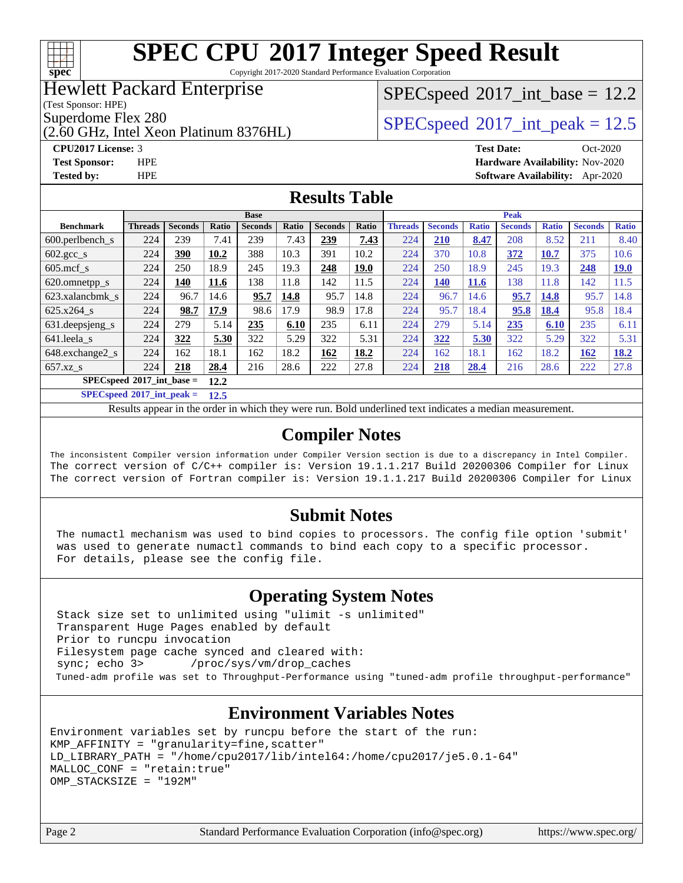

Copyright 2017-2020 Standard Performance Evaluation Corporation

## Hewlett Packard Enterprise

(Test Sponsor: HPE)

(2.60 GHz, Intel Xeon Platinum 8376HL)

**[Tested by:](http://www.spec.org/auto/cpu2017/Docs/result-fields.html#Testedby)** HPE **[Software Availability:](http://www.spec.org/auto/cpu2017/Docs/result-fields.html#SoftwareAvailability)** Apr-2020

#### $SPECspeed^{\circ}2017\_int\_base = 12.2$  $SPECspeed^{\circ}2017\_int\_base = 12.2$

Superdome Flex 280<br>  $SPEC speed^{\circ}2017$  int peak = 12.5

**[CPU2017 License:](http://www.spec.org/auto/cpu2017/Docs/result-fields.html#CPU2017License)** 3 **[Test Date:](http://www.spec.org/auto/cpu2017/Docs/result-fields.html#TestDate)** Oct-2020 **[Test Sponsor:](http://www.spec.org/auto/cpu2017/Docs/result-fields.html#TestSponsor)** HPE **[Hardware Availability:](http://www.spec.org/auto/cpu2017/Docs/result-fields.html#HardwareAvailability)** Nov-2020

**[Results Table](http://www.spec.org/auto/cpu2017/Docs/result-fields.html#ResultsTable)**

|                                       | <b>Base</b>    |                |       |                | <b>Peak</b> |                |       |                |                |              |                |              |                |              |
|---------------------------------------|----------------|----------------|-------|----------------|-------------|----------------|-------|----------------|----------------|--------------|----------------|--------------|----------------|--------------|
| <b>Benchmark</b>                      | <b>Threads</b> | <b>Seconds</b> | Ratio | <b>Seconds</b> | Ratio       | <b>Seconds</b> | Ratio | <b>Threads</b> | <b>Seconds</b> | <b>Ratio</b> | <b>Seconds</b> | <b>Ratio</b> | <b>Seconds</b> | <b>Ratio</b> |
| 600.perlbench s                       | 224            | 239            | 7.41  | 239            | 7.43        | 239            | 7.43  | 224            | <b>210</b>     | 8.47         | 208            | 8.52         | 211            | 8.40         |
| $602.\text{gcc}\_\text{s}$            | 224            | 390            | 10.2  | 388            | 10.3        | 391            | 10.2  | 224            | 370            | 10.8         | 372            | 10.7         | 375            | 10.6         |
| $605 \text{.mcf}$ s                   | 224            | 250            | 18.9  | 245            | 19.3        | 248            | 19.0  | 224            | 250            | 18.9         | 245            | 19.3         | 248            | 19.0         |
| 620.omnetpp_s                         | 224            | 140            | 11.6  | 138            | 11.8        | 142            | 11.5  | 224            | 140            | <b>11.6</b>  | 138            | 11.8         | 142            | 11.5         |
| 623.xalancbmk s                       | 224            | 96.7           | 14.6  | 95.7           | 14.8        | 95.7           | 14.8  | 224            | 96.7           | 14.6         | 95.7           | 14.8         | 95.7           | 14.8         |
| $625.x264$ s                          | 224            | 98.7           | 17.9  | 98.6           | 17.9        | 98.9           | 17.8  | 224            | 95.7           | 18.4         | 95.8           | 18.4         | 95.8           | 18.4         |
| 631. deepsjeng_s                      | 224            | 279            | 5.14  | 235            | 6.10        | 235            | 6.11  | 224            | 279            | 5.14         | 235            | 6.10         | 235            | 6.11         |
| 641.leela s                           | 224            | 322            | 5.30  | 322            | 5.29        | 322            | 5.31  | 224            | 322            | 5.30         | 322            | 5.29         | 322            | 5.31         |
| 648.exchange2_s                       | 224            | 162            | 18.1  | 162            | 18.2        | 162            | 18.2  | 224            | 162            | 18.1         | 162            | 18.2         | 162            | 18.2         |
| $657.xz$ <sub>S</sub>                 | 224            | 218            | 28.4  | 216            | 28.6        | 222            | 27.8  | 224            | 218            | 28.4         | 216            | 28.6         | 222            | 27.8         |
| $SPEC speed^{\circ}2017\_int\_base =$ |                |                | 12.2  |                |             |                |       |                |                |              |                |              |                |              |

**[SPECspeed](http://www.spec.org/auto/cpu2017/Docs/result-fields.html#SPECspeed2017intpeak)[2017\\_int\\_peak =](http://www.spec.org/auto/cpu2017/Docs/result-fields.html#SPECspeed2017intpeak) 12.5**

Results appear in the [order in which they were run.](http://www.spec.org/auto/cpu2017/Docs/result-fields.html#RunOrder) Bold underlined text [indicates a median measurement](http://www.spec.org/auto/cpu2017/Docs/result-fields.html#Median).

#### **[Compiler Notes](http://www.spec.org/auto/cpu2017/Docs/result-fields.html#CompilerNotes)**

The inconsistent Compiler version information under Compiler Version section is due to a discrepancy in Intel Compiler. The correct version of C/C++ compiler is: Version 19.1.1.217 Build 20200306 Compiler for Linux The correct version of Fortran compiler is: Version 19.1.1.217 Build 20200306 Compiler for Linux

#### **[Submit Notes](http://www.spec.org/auto/cpu2017/Docs/result-fields.html#SubmitNotes)**

 The numactl mechanism was used to bind copies to processors. The config file option 'submit' was used to generate numactl commands to bind each copy to a specific processor. For details, please see the config file.

#### **[Operating System Notes](http://www.spec.org/auto/cpu2017/Docs/result-fields.html#OperatingSystemNotes)**

 Stack size set to unlimited using "ulimit -s unlimited" Transparent Huge Pages enabled by default Prior to runcpu invocation Filesystem page cache synced and cleared with: sync; echo 3> /proc/sys/vm/drop\_caches Tuned-adm profile was set to Throughput-Performance using "tuned-adm profile throughput-performance"

#### **[Environment Variables Notes](http://www.spec.org/auto/cpu2017/Docs/result-fields.html#EnvironmentVariablesNotes)**

```
Environment variables set by runcpu before the start of the run:
KMP_AFFINITY = "granularity=fine,scatter"
LD_LIBRARY_PATH = "/home/cpu2017/lib/intel64:/home/cpu2017/je5.0.1-64"
MALLOC_CONF = "retain:true"
OMP_STACKSIZE = "192M"
```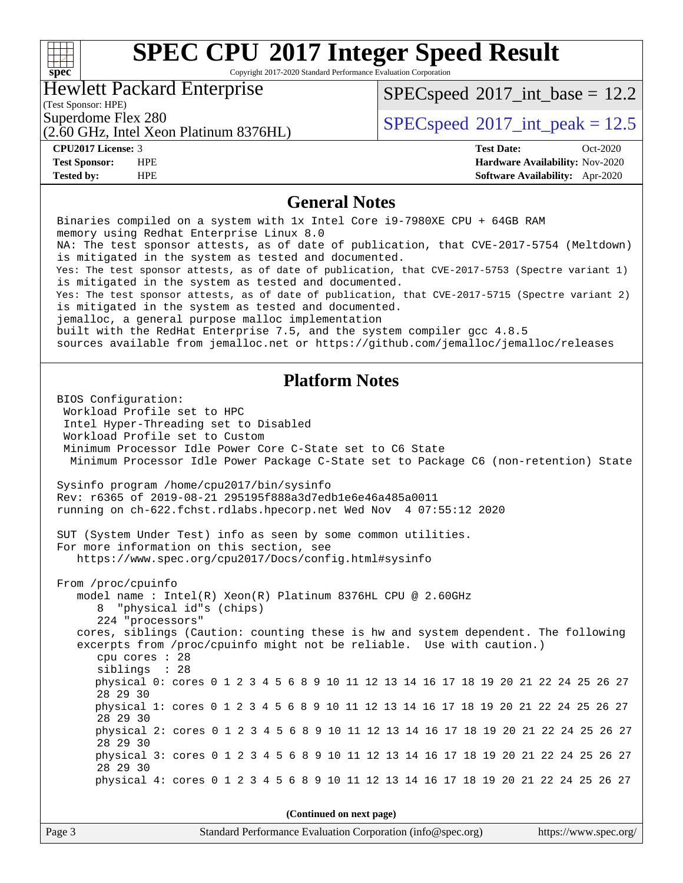#### **[SPEC CPU](http://www.spec.org/auto/cpu2017/Docs/result-fields.html#SPECCPU2017IntegerSpeedResult)[2017 Integer Speed Result](http://www.spec.org/auto/cpu2017/Docs/result-fields.html#SPECCPU2017IntegerSpeedResult)** Copyright 2017-2020 Standard Performance Evaluation Corporation Hewlett Packard Enterprise  $SPECspeed^{\circledcirc}2017\_int\_base = 12.2$  $SPECspeed^{\circledcirc}2017\_int\_base = 12.2$

(Test Sponsor: HPE)

Superdome Flex 280<br>  $SPEC speed^{\circ}2017$ \_int\_peak = 12.5

(2.60 GHz, Intel Xeon Platinum 8376HL)

**[spec](http://www.spec.org/)**

 $\pm \pm$ 

**[Tested by:](http://www.spec.org/auto/cpu2017/Docs/result-fields.html#Testedby)** HPE **[Software Availability:](http://www.spec.org/auto/cpu2017/Docs/result-fields.html#SoftwareAvailability)** Apr-2020

**[CPU2017 License:](http://www.spec.org/auto/cpu2017/Docs/result-fields.html#CPU2017License)** 3 **[Test Date:](http://www.spec.org/auto/cpu2017/Docs/result-fields.html#TestDate)** Oct-2020 **[Test Sponsor:](http://www.spec.org/auto/cpu2017/Docs/result-fields.html#TestSponsor)** HPE **[Hardware Availability:](http://www.spec.org/auto/cpu2017/Docs/result-fields.html#HardwareAvailability)** Nov-2020

#### **[General Notes](http://www.spec.org/auto/cpu2017/Docs/result-fields.html#GeneralNotes)**

 Binaries compiled on a system with 1x Intel Core i9-7980XE CPU + 64GB RAM memory using Redhat Enterprise Linux 8.0 NA: The test sponsor attests, as of date of publication, that CVE-2017-5754 (Meltdown) is mitigated in the system as tested and documented. Yes: The test sponsor attests, as of date of publication, that CVE-2017-5753 (Spectre variant 1) is mitigated in the system as tested and documented. Yes: The test sponsor attests, as of date of publication, that CVE-2017-5715 (Spectre variant 2) is mitigated in the system as tested and documented. jemalloc, a general purpose malloc implementation built with the RedHat Enterprise 7.5, and the system compiler gcc 4.8.5 sources available from jemalloc.net or<https://github.com/jemalloc/jemalloc/releases> **[Platform Notes](http://www.spec.org/auto/cpu2017/Docs/result-fields.html#PlatformNotes)** BIOS Configuration: Workload Profile set to HPC Intel Hyper-Threading set to Disabled Workload Profile set to Custom Minimum Processor Idle Power Core C-State set to C6 State Minimum Processor Idle Power Package C-State set to Package C6 (non-retention) State Sysinfo program /home/cpu2017/bin/sysinfo Rev: r6365 of 2019-08-21 295195f888a3d7edb1e6e46a485a0011 running on ch-622.fchst.rdlabs.hpecorp.net Wed Nov 4 07:55:12 2020 SUT (System Under Test) info as seen by some common utilities. For more information on this section, see <https://www.spec.org/cpu2017/Docs/config.html#sysinfo> From /proc/cpuinfo model name : Intel(R) Xeon(R) Platinum 8376HL CPU @ 2.60GHz 8 "physical id"s (chips) 224 "processors" cores, siblings (Caution: counting these is hw and system dependent. The following excerpts from /proc/cpuinfo might not be reliable. Use with caution.) cpu cores : 28 siblings : 28 physical 0: cores 0 1 2 3 4 5 6 8 9 10 11 12 13 14 16 17 18 19 20 21 22 24 25 26 27 28 29 30 physical 1: cores 0 1 2 3 4 5 6 8 9 10 11 12 13 14 16 17 18 19 20 21 22 24 25 26 27 28 29 30 physical 2: cores 0 1 2 3 4 5 6 8 9 10 11 12 13 14 16 17 18 19 20 21 22 24 25 26 27 28 29 30 physical 3: cores 0 1 2 3 4 5 6 8 9 10 11 12 13 14 16 17 18 19 20 21 22 24 25 26 27 28 29 30 physical 4: cores 0 1 2 3 4 5 6 8 9 10 11 12 13 14 16 17 18 19 20 21 22 24 25 26 27 **(Continued on next page)**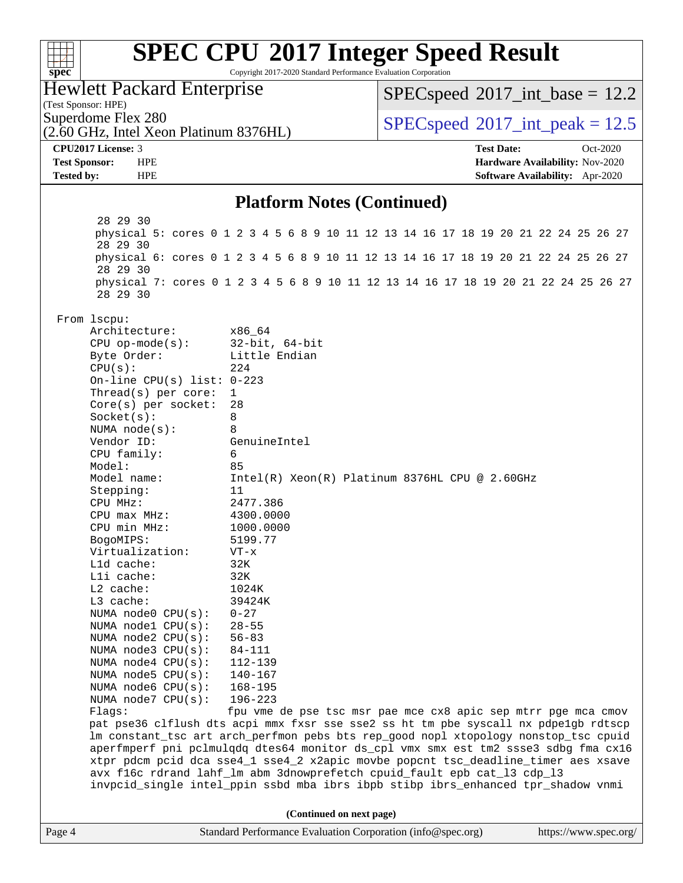| $spec^*$                                                     | Copyright 2017-2020 Standard Performance Evaluation Corporation | <b>SPEC CPU®2017 Integer Speed Result</b>                                                                                                                                  |                                 |
|--------------------------------------------------------------|-----------------------------------------------------------------|----------------------------------------------------------------------------------------------------------------------------------------------------------------------------|---------------------------------|
| Hewlett Packard Enterprise<br>(Test Sponsor: HPE)            |                                                                 | $SPEC speed^{\circ}2017\_int\_base = 12.2$                                                                                                                                 |                                 |
| Superdome Flex 280<br>(2.60 GHz, Intel Xeon Platinum 8376HL) |                                                                 | $SPEC speed^{\circ}2017\_int\_peak = 12.5$                                                                                                                                 |                                 |
| CPU2017 License: 3                                           |                                                                 | <b>Test Date:</b>                                                                                                                                                          | Oct-2020                        |
| <b>Test Sponsor:</b><br><b>HPE</b>                           |                                                                 |                                                                                                                                                                            | Hardware Availability: Nov-2020 |
| <b>Tested by:</b><br><b>HPE</b>                              |                                                                 |                                                                                                                                                                            | Software Availability: Apr-2020 |
|                                                              | <b>Platform Notes (Continued)</b>                               |                                                                                                                                                                            |                                 |
| 28 29 30                                                     |                                                                 |                                                                                                                                                                            |                                 |
| 28 29 30                                                     |                                                                 | physical 5: cores 0 1 2 3 4 5 6 8 9 10 11 12 13 14 16 17 18 19 20 21 22 24 25 26 27                                                                                        |                                 |
| 28 29 30                                                     |                                                                 | physical 6: cores 0 1 2 3 4 5 6 8 9 10 11 12 13 14 16 17 18 19 20 21 22 24 25 26 27                                                                                        |                                 |
| 28 29 30                                                     |                                                                 | physical 7: cores 0 1 2 3 4 5 6 8 9 10 11 12 13 14 16 17 18 19 20 21 22 24 25 26 27                                                                                        |                                 |
| From lscpu:                                                  |                                                                 |                                                                                                                                                                            |                                 |
| Architecture:                                                | x86 64                                                          |                                                                                                                                                                            |                                 |
| $CPU$ op-mode(s):                                            | $32$ -bit, $64$ -bit                                            |                                                                                                                                                                            |                                 |
| Byte Order:                                                  | Little Endian                                                   |                                                                                                                                                                            |                                 |
| CPU(s):<br>On-line CPU(s) list: $0-223$                      | 224                                                             |                                                                                                                                                                            |                                 |
| Thread(s) per core:                                          | 1                                                               |                                                                                                                                                                            |                                 |
| $Core(s)$ per socket:                                        | 28                                                              |                                                                                                                                                                            |                                 |
| Socket(s):                                                   | 8                                                               |                                                                                                                                                                            |                                 |
| NUMA $node(s):$                                              | 8                                                               |                                                                                                                                                                            |                                 |
| Vendor ID:                                                   | GenuineIntel                                                    |                                                                                                                                                                            |                                 |
| CPU family:                                                  | 6                                                               |                                                                                                                                                                            |                                 |
| Model:<br>Model name:                                        | 85                                                              | Intel(R) Xeon(R) Platinum 8376HL CPU @ 2.60GHz                                                                                                                             |                                 |
| Stepping:                                                    | 11                                                              |                                                                                                                                                                            |                                 |
| CPU MHz:                                                     | 2477.386                                                        |                                                                                                                                                                            |                                 |
| $CPU$ max $MHz$ :                                            | 4300.0000                                                       |                                                                                                                                                                            |                                 |
| CPU min MHz:                                                 | 1000.0000                                                       |                                                                                                                                                                            |                                 |
| BogoMIPS:                                                    | 5199.77                                                         |                                                                                                                                                                            |                                 |
| Virtualization:                                              | $VT - x$                                                        |                                                                                                                                                                            |                                 |
| Lld cache:<br>Lli cache:                                     | 32K<br>32K                                                      |                                                                                                                                                                            |                                 |
| L2 cache:                                                    | 1024K                                                           |                                                                                                                                                                            |                                 |
| L3 cache:                                                    | 39424K                                                          |                                                                                                                                                                            |                                 |
| NUMA node0 CPU(s):                                           | $0 - 27$                                                        |                                                                                                                                                                            |                                 |
| NUMA nodel CPU(s):                                           | $28 - 55$                                                       |                                                                                                                                                                            |                                 |
| NUMA node2 CPU(s):                                           | $56 - 83$                                                       |                                                                                                                                                                            |                                 |
| NUMA node3 CPU(s):                                           | 84-111                                                          |                                                                                                                                                                            |                                 |
| NUMA $node4$ $CPU(s):$<br>NUMA node5 $CPU(s):$               | 112-139<br>$140 - 167$                                          |                                                                                                                                                                            |                                 |
| NUMA node6 CPU(s):                                           | $168 - 195$                                                     |                                                                                                                                                                            |                                 |
| NUMA node7 CPU(s):                                           | $196 - 223$                                                     |                                                                                                                                                                            |                                 |
| Flags:                                                       |                                                                 | fpu vme de pse tsc msr pae mce cx8 apic sep mtrr pge mca cmov                                                                                                              |                                 |
|                                                              |                                                                 | pat pse36 clflush dts acpi mmx fxsr sse sse2 ss ht tm pbe syscall nx pdpelgb rdtscp<br>lm constant_tsc art arch_perfmon pebs bts rep_good nopl xtopology nonstop_tsc cpuid |                                 |
|                                                              |                                                                 | aperfmperf pni pclmulqdq dtes64 monitor ds_cpl vmx smx est tm2 ssse3 sdbg fma cx16                                                                                         |                                 |
|                                                              |                                                                 | xtpr pdcm pcid dca sse4_1 sse4_2 x2apic movbe popcnt tsc_deadline_timer aes xsave<br>avx f16c rdrand lahf_lm abm 3dnowprefetch cpuid_fault epb cat_13 cdp_13               |                                 |
|                                                              |                                                                 | invpcid_single intel_ppin ssbd mba ibrs ibpb stibp ibrs_enhanced tpr_shadow vnmi                                                                                           |                                 |
|                                                              | (Continued on next page)                                        |                                                                                                                                                                            |                                 |
| Page 4                                                       | Standard Performance Evaluation Corporation (info@spec.org)     |                                                                                                                                                                            | https://www.spec.org/           |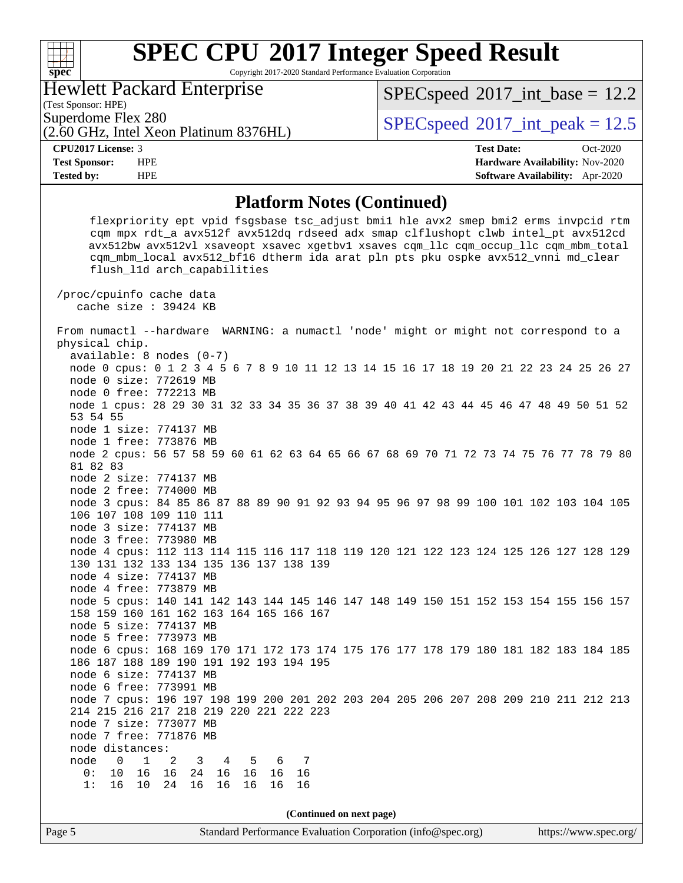Copyright 2017-2020 Standard Performance Evaluation Corporation

## Hewlett Packard Enterprise

 $SPECspeed^{\circ}2017\_int\_base = 12.2$  $SPECspeed^{\circ}2017\_int\_base = 12.2$ 

(Test Sponsor: HPE)

**[spec](http://www.spec.org/)**

 $\begin{matrix} & \ + \ + \end{matrix}$ 

(2.60 GHz, Intel Xeon Platinum 8376HL)

Superdome Flex 280  $SPEC speed^{\circ}2017$ \_int\_peak = 12.5

**[CPU2017 License:](http://www.spec.org/auto/cpu2017/Docs/result-fields.html#CPU2017License)** 3 **[Test Date:](http://www.spec.org/auto/cpu2017/Docs/result-fields.html#TestDate)** Oct-2020 **[Test Sponsor:](http://www.spec.org/auto/cpu2017/Docs/result-fields.html#TestSponsor)** HPE **[Hardware Availability:](http://www.spec.org/auto/cpu2017/Docs/result-fields.html#HardwareAvailability)** Nov-2020 **[Tested by:](http://www.spec.org/auto/cpu2017/Docs/result-fields.html#Testedby)** HPE **[Software Availability:](http://www.spec.org/auto/cpu2017/Docs/result-fields.html#SoftwareAvailability)** Apr-2020

#### **[Platform Notes \(Continued\)](http://www.spec.org/auto/cpu2017/Docs/result-fields.html#PlatformNotes)**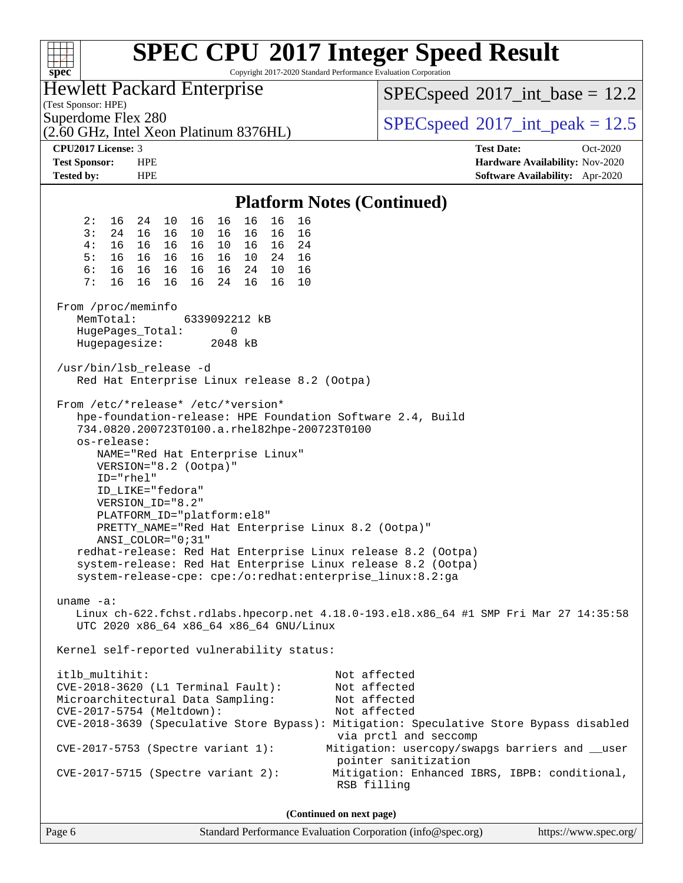| n Tin<br>$spec^*$                                                                                                                                                                                                                                                                                                                                                                                                                                                                                                                                                                                      | <b>SPEC CPU®2017 Integer Speed Result</b><br>Copyright 2017-2020 Standard Performance Evaluation Corporation                                                                                                                                                                                                                |
|--------------------------------------------------------------------------------------------------------------------------------------------------------------------------------------------------------------------------------------------------------------------------------------------------------------------------------------------------------------------------------------------------------------------------------------------------------------------------------------------------------------------------------------------------------------------------------------------------------|-----------------------------------------------------------------------------------------------------------------------------------------------------------------------------------------------------------------------------------------------------------------------------------------------------------------------------|
| <b>Hewlett Packard Enterprise</b><br>(Test Sponsor: HPE)                                                                                                                                                                                                                                                                                                                                                                                                                                                                                                                                               | $SPEC speed^{\circ}2017\_int\_base = 12.2$                                                                                                                                                                                                                                                                                  |
| Superdome Flex 280<br>(2.60 GHz, Intel Xeon Platinum 8376HL)                                                                                                                                                                                                                                                                                                                                                                                                                                                                                                                                           | $SPEC speed^{\circ}2017\_int\_peak = 12.5$                                                                                                                                                                                                                                                                                  |
| CPU2017 License: 3                                                                                                                                                                                                                                                                                                                                                                                                                                                                                                                                                                                     | <b>Test Date:</b><br>Oct-2020                                                                                                                                                                                                                                                                                               |
| <b>Test Sponsor:</b><br><b>HPE</b><br><b>HPE</b><br><b>Tested by:</b>                                                                                                                                                                                                                                                                                                                                                                                                                                                                                                                                  | Hardware Availability: Nov-2020<br><b>Software Availability:</b> Apr-2020                                                                                                                                                                                                                                                   |
|                                                                                                                                                                                                                                                                                                                                                                                                                                                                                                                                                                                                        | <b>Platform Notes (Continued)</b>                                                                                                                                                                                                                                                                                           |
| 16<br>2 :<br>16 24<br>10<br>16<br>16<br>16<br>16                                                                                                                                                                                                                                                                                                                                                                                                                                                                                                                                                       |                                                                                                                                                                                                                                                                                                                             |
| 3:<br>24 16<br>16<br>16<br>10<br>16<br>16<br>16                                                                                                                                                                                                                                                                                                                                                                                                                                                                                                                                                        |                                                                                                                                                                                                                                                                                                                             |
| 4 :<br>16<br>16<br>16<br>16<br>10<br>16 16 24                                                                                                                                                                                                                                                                                                                                                                                                                                                                                                                                                          |                                                                                                                                                                                                                                                                                                                             |
| 5:<br>16<br>16<br>10 24 16<br>16 16<br>16<br>6:<br>16<br>16 16<br>16<br>24 10<br>16<br>16                                                                                                                                                                                                                                                                                                                                                                                                                                                                                                              |                                                                                                                                                                                                                                                                                                                             |
| 7:<br>16<br>16<br>16<br>16<br>16<br>24<br>16<br>10                                                                                                                                                                                                                                                                                                                                                                                                                                                                                                                                                     |                                                                                                                                                                                                                                                                                                                             |
|                                                                                                                                                                                                                                                                                                                                                                                                                                                                                                                                                                                                        |                                                                                                                                                                                                                                                                                                                             |
| From /proc/meminfo                                                                                                                                                                                                                                                                                                                                                                                                                                                                                                                                                                                     |                                                                                                                                                                                                                                                                                                                             |
| MemTotal:<br>6339092212 kB                                                                                                                                                                                                                                                                                                                                                                                                                                                                                                                                                                             |                                                                                                                                                                                                                                                                                                                             |
| HugePages_Total:<br>0<br>Hugepagesize:<br>2048 kB                                                                                                                                                                                                                                                                                                                                                                                                                                                                                                                                                      |                                                                                                                                                                                                                                                                                                                             |
|                                                                                                                                                                                                                                                                                                                                                                                                                                                                                                                                                                                                        |                                                                                                                                                                                                                                                                                                                             |
| /usr/bin/lsb_release -d<br>Red Hat Enterprise Linux release 8.2 (Ootpa)                                                                                                                                                                                                                                                                                                                                                                                                                                                                                                                                |                                                                                                                                                                                                                                                                                                                             |
| From /etc/*release* /etc/*version*<br>hpe-foundation-release: HPE Foundation Software 2.4, Build<br>734.0820.200723T0100.a.rhel82hpe-200723T0100<br>os-release:<br>NAME="Red Hat Enterprise Linux"<br>VERSION="8.2 (Ootpa)"<br>ID="rhel"<br>ID LIKE="fedora"<br>VERSION_ID="8.2"<br>PLATFORM_ID="platform:el8"<br>PRETTY_NAME="Red Hat Enterprise Linux 8.2 (Ootpa)"<br>ANSI COLOR="0;31"<br>redhat-release: Red Hat Enterprise Linux release 8.2 (Ootpa)<br>system-release: Red Hat Enterprise Linux release 8.2 (Ootpa)<br>system-release-cpe: cpe:/o:redhat:enterprise_linux:8.2:ga<br>uname $-a$ : |                                                                                                                                                                                                                                                                                                                             |
| UTC 2020 x86 64 x86 64 x86 64 GNU/Linux<br>Kernel self-reported vulnerability status:                                                                                                                                                                                                                                                                                                                                                                                                                                                                                                                  | Linux ch-622.fchst.rdlabs.hpecorp.net 4.18.0-193.el8.x86_64 #1 SMP Fri Mar 27 14:35:58                                                                                                                                                                                                                                      |
|                                                                                                                                                                                                                                                                                                                                                                                                                                                                                                                                                                                                        |                                                                                                                                                                                                                                                                                                                             |
| itlb_multihit:<br>CVE-2018-3620 (L1 Terminal Fault):<br>Microarchitectural Data Sampling:<br>CVE-2017-5754 (Meltdown):<br>$CVE-2017-5753$ (Spectre variant 1):<br>$CVE-2017-5715$ (Spectre variant 2):                                                                                                                                                                                                                                                                                                                                                                                                 | Not affected<br>Not affected<br>Not affected<br>Not affected<br>CVE-2018-3639 (Speculative Store Bypass): Mitigation: Speculative Store Bypass disabled<br>via prctl and seccomp<br>Mitigation: usercopy/swapgs barriers and __user<br>pointer sanitization<br>Mitigation: Enhanced IBRS, IBPB: conditional,<br>RSB filling |
|                                                                                                                                                                                                                                                                                                                                                                                                                                                                                                                                                                                                        | (Continued on next page)                                                                                                                                                                                                                                                                                                    |

Page 6 Standard Performance Evaluation Corporation [\(info@spec.org\)](mailto:info@spec.org) <https://www.spec.org/>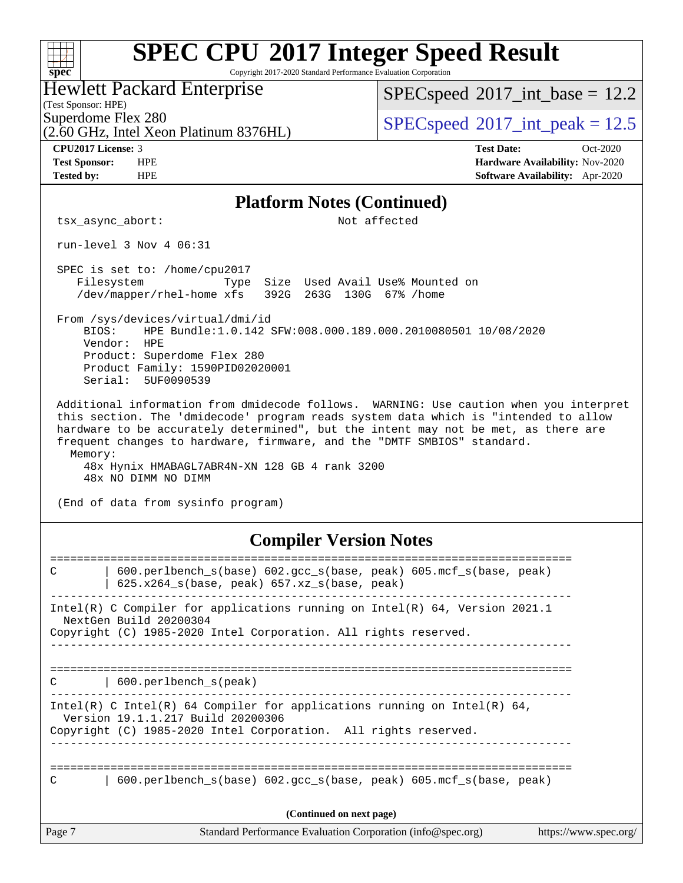| <b>SPEC CPU®2017 Integer Speed Result</b><br>Copyright 2017-2020 Standard Performance Evaluation Corporation                                                                                                                                                                                                                                                                                                                                                            |                                                                  |
|-------------------------------------------------------------------------------------------------------------------------------------------------------------------------------------------------------------------------------------------------------------------------------------------------------------------------------------------------------------------------------------------------------------------------------------------------------------------------|------------------------------------------------------------------|
| spec <sup>®</sup><br><b>Hewlett Packard Enterprise</b>                                                                                                                                                                                                                                                                                                                                                                                                                  | $SPEC speed^{\circ}2017\_int\_base = 12.2$                       |
| (Test Sponsor: HPE)<br>Superdome Flex 280                                                                                                                                                                                                                                                                                                                                                                                                                               |                                                                  |
| (2.60 GHz, Intel Xeon Platinum 8376HL)                                                                                                                                                                                                                                                                                                                                                                                                                                  | $SPEC speed^{\circ}2017\_int\_peak = 12.5$                       |
| CPU2017 License: 3<br><b>Test Sponsor:</b><br><b>HPE</b>                                                                                                                                                                                                                                                                                                                                                                                                                | <b>Test Date:</b><br>Oct-2020<br>Hardware Availability: Nov-2020 |
| <b>Tested by:</b><br><b>HPE</b>                                                                                                                                                                                                                                                                                                                                                                                                                                         | Software Availability: Apr-2020                                  |
| <b>Platform Notes (Continued)</b>                                                                                                                                                                                                                                                                                                                                                                                                                                       |                                                                  |
| tsx_async_abort:                                                                                                                                                                                                                                                                                                                                                                                                                                                        | Not affected                                                     |
| run-level 3 Nov 4 06:31                                                                                                                                                                                                                                                                                                                                                                                                                                                 |                                                                  |
| SPEC is set to: /home/cpu2017<br>Size Used Avail Use% Mounted on<br>Filesystem<br>Type<br>/dev/mapper/rhel-home xfs<br>392G<br>263G 130G 67% / home                                                                                                                                                                                                                                                                                                                     |                                                                  |
| From /sys/devices/virtual/dmi/id<br>HPE Bundle:1.0.142 SFW:008.000.189.000.2010080501 10/08/2020<br>BIOS:<br>Vendor:<br>HPE<br>Product: Superdome Flex 280<br>Product Family: 1590PID02020001<br>Serial:<br>5UF0090539                                                                                                                                                                                                                                                  |                                                                  |
| Additional information from dmidecode follows. WARNING: Use caution when you interpret<br>this section. The 'dmidecode' program reads system data which is "intended to allow<br>hardware to be accurately determined", but the intent may not be met, as there are<br>frequent changes to hardware, firmware, and the "DMTF SMBIOS" standard.<br>Memory:<br>48x Hynix HMABAGL7ABR4N-XN 128 GB 4 rank 3200<br>48x NO DIMM NO DIMM<br>(End of data from sysinfo program) |                                                                  |
| <b>Compiler Version Notes</b>                                                                                                                                                                                                                                                                                                                                                                                                                                           |                                                                  |
| ===========<br>600.perlbench_s(base) 602.gcc_s(base, peak) 605.mcf_s(base, peak)<br>C<br>625.x264_s(base, peak) 657.xz_s(base, peak)                                                                                                                                                                                                                                                                                                                                    |                                                                  |
| Intel(R) C Compiler for applications running on Intel(R) 64, Version 2021.1<br>NextGen Build 20200304<br>Copyright (C) 1985-2020 Intel Corporation. All rights reserved.                                                                                                                                                                                                                                                                                                |                                                                  |
| 600.perlbench_s(peak)<br>C.                                                                                                                                                                                                                                                                                                                                                                                                                                             |                                                                  |
| Intel(R) C Intel(R) 64 Compiler for applications running on Intel(R) 64,<br>Version 19.1.1.217 Build 20200306<br>Copyright (C) 1985-2020 Intel Corporation. All rights reserved.<br>. <u>.</u> .                                                                                                                                                                                                                                                                        |                                                                  |
| 600.perlbench_s(base) 602.gcc_s(base, peak) 605.mcf_s(base, peak)<br>С                                                                                                                                                                                                                                                                                                                                                                                                  |                                                                  |
| (Continued on next page)                                                                                                                                                                                                                                                                                                                                                                                                                                                |                                                                  |
| Standard Performance Evaluation Corporation (info@spec.org)<br>Page 7                                                                                                                                                                                                                                                                                                                                                                                                   | https://www.spec.org/                                            |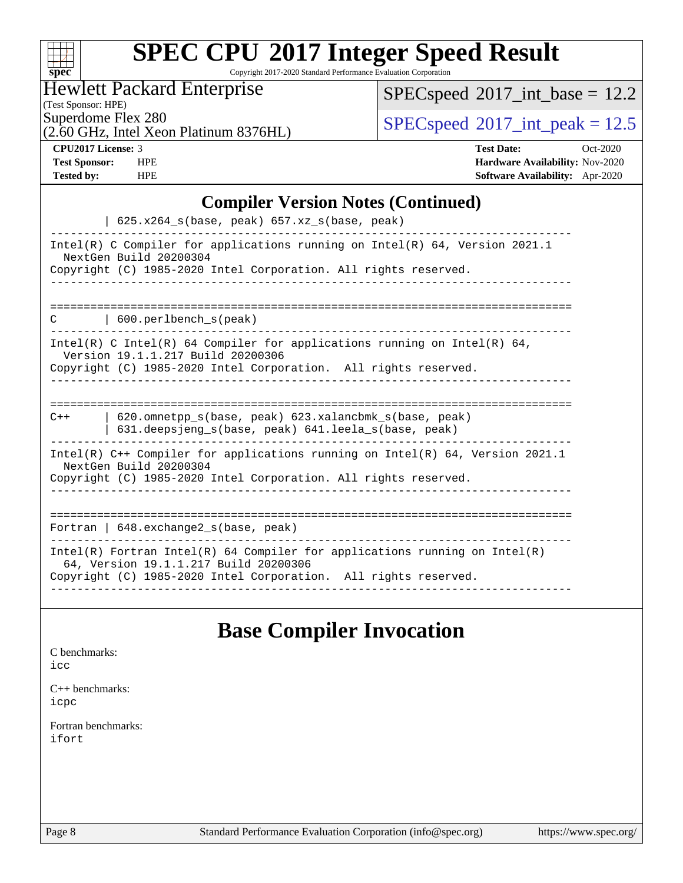| S<br>اق<br>E<br>Π |  |  |  |  |
|-------------------|--|--|--|--|

Copyright 2017-2020 Standard Performance Evaluation Corporation

## Hewlett Packard Enterprise

 $SPEC speed$ <sup>®</sup> $2017$ \_int\_base = 12.2

(Test Sponsor: HPE)

(2.60 GHz, Intel Xeon Platinum 8376HL)

 $SPEC speed^{\circ}2017\_int\_peak = 12.5$ 

#### **[CPU2017 License:](http://www.spec.org/auto/cpu2017/Docs/result-fields.html#CPU2017License)** 3 **T**

| <b>CPU2017 License: 3</b> |            | $Oct-2020$<br><b>Test Date:</b>        |
|---------------------------|------------|----------------------------------------|
| <b>Test Sponsor:</b>      | <b>HPE</b> | <b>Hardware Availability: Nov-2020</b> |
| <b>Tested by:</b>         | <b>HPE</b> | <b>Software Availability:</b> Apr-2020 |

## **[Compiler Version Notes \(Continued\)](http://www.spec.org/auto/cpu2017/Docs/result-fields.html#CompilerVersionNotes)**

| $625.x264_s(base, peak)$ 657.xz <sub>_S</sub> (base, peak)                                                                                                                             |
|----------------------------------------------------------------------------------------------------------------------------------------------------------------------------------------|
| Intel(R) C Compiler for applications running on Intel(R) $64$ , Version 2021.1<br>NextGen Build 20200304<br>Copyright (C) 1985-2020 Intel Corporation. All rights reserved.            |
| 600.perlbench_s(peak)<br>C                                                                                                                                                             |
| Intel(R) C Intel(R) 64 Compiler for applications running on Intel(R) 64,<br>Version 19.1.1.217 Build 20200306<br>Copyright (C) 1985-2020 Intel Corporation. All rights reserved.       |
| 620.omnetpp s(base, peak) 623.xalancbmk s(base, peak)<br>$C++$<br>631.deepsjeng_s(base, peak) 641.leela_s(base, peak)                                                                  |
| Intel(R) $C++$ Compiler for applications running on Intel(R) 64, Version 2021.1<br>NextGen Build 20200304<br>Copyright (C) 1985-2020 Intel Corporation. All rights reserved.           |
| Fortran   648. exchange2_s(base, peak)                                                                                                                                                 |
| Intel(R) Fortran Intel(R) 64 Compiler for applications running on Intel(R)<br>64, Version 19.1.1.217 Build 20200306<br>Copyright (C) 1985-2020 Intel Corporation. All rights reserved. |

## **[Base Compiler Invocation](http://www.spec.org/auto/cpu2017/Docs/result-fields.html#BaseCompilerInvocation)**

| C benchmarks:<br>icc         |  |
|------------------------------|--|
| $C_{++}$ benchmarks:<br>icpc |  |
| Fortran benchmarks:<br>ifort |  |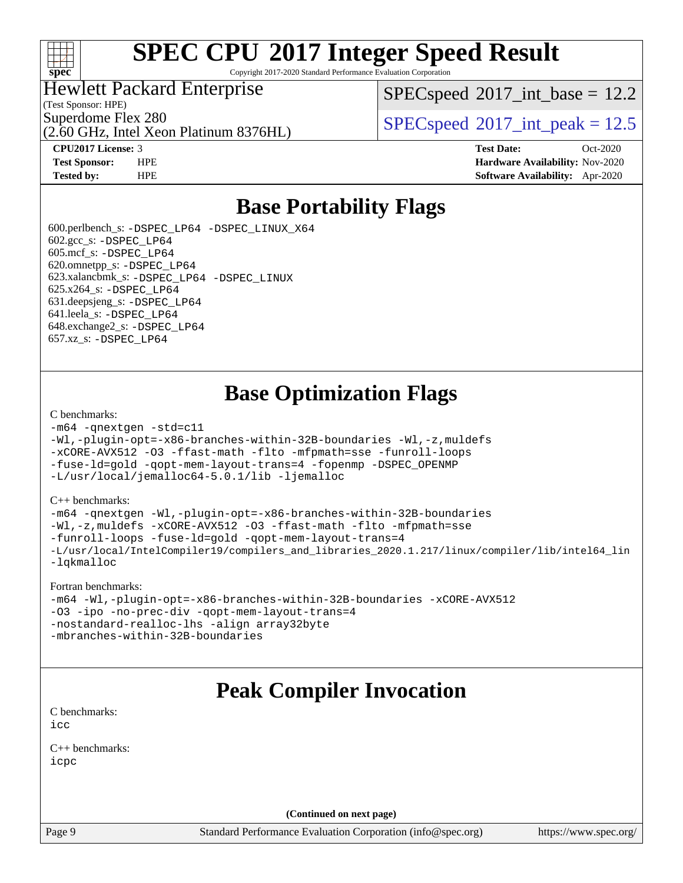

Copyright 2017-2020 Standard Performance Evaluation Corporation

## Hewlett Packard Enterprise

(Test Sponsor: HPE)

 $SPECspeed^{\circ}2017\_int\_base = 12.2$  $SPECspeed^{\circ}2017\_int\_base = 12.2$ 

Superdome Flex 280<br>  $SPEC speed^{\circ}2017$ \_int\_peak = 12.5

(2.60 GHz, Intel Xeon Platinum 8376HL)

**[CPU2017 License:](http://www.spec.org/auto/cpu2017/Docs/result-fields.html#CPU2017License)** 3 **[Test Date:](http://www.spec.org/auto/cpu2017/Docs/result-fields.html#TestDate)** Oct-2020 **[Test Sponsor:](http://www.spec.org/auto/cpu2017/Docs/result-fields.html#TestSponsor)** HPE **[Hardware Availability:](http://www.spec.org/auto/cpu2017/Docs/result-fields.html#HardwareAvailability)** Nov-2020 **[Tested by:](http://www.spec.org/auto/cpu2017/Docs/result-fields.html#Testedby)** HPE **[Software Availability:](http://www.spec.org/auto/cpu2017/Docs/result-fields.html#SoftwareAvailability)** Apr-2020

# **[Base Portability Flags](http://www.spec.org/auto/cpu2017/Docs/result-fields.html#BasePortabilityFlags)**

 600.perlbench\_s: [-DSPEC\\_LP64](http://www.spec.org/cpu2017/results/res2020q4/cpu2017-20201123-24423.flags.html#b600.perlbench_s_basePORTABILITY_DSPEC_LP64) [-DSPEC\\_LINUX\\_X64](http://www.spec.org/cpu2017/results/res2020q4/cpu2017-20201123-24423.flags.html#b600.perlbench_s_baseCPORTABILITY_DSPEC_LINUX_X64) 602.gcc\_s: [-DSPEC\\_LP64](http://www.spec.org/cpu2017/results/res2020q4/cpu2017-20201123-24423.flags.html#suite_basePORTABILITY602_gcc_s_DSPEC_LP64) 605.mcf\_s: [-DSPEC\\_LP64](http://www.spec.org/cpu2017/results/res2020q4/cpu2017-20201123-24423.flags.html#suite_basePORTABILITY605_mcf_s_DSPEC_LP64) 620.omnetpp\_s: [-DSPEC\\_LP64](http://www.spec.org/cpu2017/results/res2020q4/cpu2017-20201123-24423.flags.html#suite_basePORTABILITY620_omnetpp_s_DSPEC_LP64) 623.xalancbmk\_s: [-DSPEC\\_LP64](http://www.spec.org/cpu2017/results/res2020q4/cpu2017-20201123-24423.flags.html#suite_basePORTABILITY623_xalancbmk_s_DSPEC_LP64) [-DSPEC\\_LINUX](http://www.spec.org/cpu2017/results/res2020q4/cpu2017-20201123-24423.flags.html#b623.xalancbmk_s_baseCXXPORTABILITY_DSPEC_LINUX) 625.x264\_s: [-DSPEC\\_LP64](http://www.spec.org/cpu2017/results/res2020q4/cpu2017-20201123-24423.flags.html#suite_basePORTABILITY625_x264_s_DSPEC_LP64) 631.deepsjeng\_s: [-DSPEC\\_LP64](http://www.spec.org/cpu2017/results/res2020q4/cpu2017-20201123-24423.flags.html#suite_basePORTABILITY631_deepsjeng_s_DSPEC_LP64) 641.leela\_s: [-DSPEC\\_LP64](http://www.spec.org/cpu2017/results/res2020q4/cpu2017-20201123-24423.flags.html#suite_basePORTABILITY641_leela_s_DSPEC_LP64) 648.exchange2\_s: [-DSPEC\\_LP64](http://www.spec.org/cpu2017/results/res2020q4/cpu2017-20201123-24423.flags.html#suite_basePORTABILITY648_exchange2_s_DSPEC_LP64) 657.xz\_s: [-DSPEC\\_LP64](http://www.spec.org/cpu2017/results/res2020q4/cpu2017-20201123-24423.flags.html#suite_basePORTABILITY657_xz_s_DSPEC_LP64)

# **[Base Optimization Flags](http://www.spec.org/auto/cpu2017/Docs/result-fields.html#BaseOptimizationFlags)**

#### [C benchmarks](http://www.spec.org/auto/cpu2017/Docs/result-fields.html#Cbenchmarks):

```
-m64 -qnextgen -std=c11
-Wl,-plugin-opt=-x86-branches-within-32B-boundaries -Wl,-z,muldefs
-xCORE-AVX512 -O3 -ffast-math -flto -mfpmath=sse -funroll-loops
-fuse-ld=gold -qopt-mem-layout-trans=4 -fopenmp -DSPEC_OPENMP
-L/usr/local/jemalloc64-5.0.1/lib -ljemalloc
```
#### [C++ benchmarks:](http://www.spec.org/auto/cpu2017/Docs/result-fields.html#CXXbenchmarks)

[-m64](http://www.spec.org/cpu2017/results/res2020q4/cpu2017-20201123-24423.flags.html#user_CXXbase_m64-icc) [-qnextgen](http://www.spec.org/cpu2017/results/res2020q4/cpu2017-20201123-24423.flags.html#user_CXXbase_f-qnextgen) [-Wl,-plugin-opt=-x86-branches-within-32B-boundaries](http://www.spec.org/cpu2017/results/res2020q4/cpu2017-20201123-24423.flags.html#user_CXXbase_f-x86-branches-within-32B-boundaries_0098b4e4317ae60947b7b728078a624952a08ac37a3c797dfb4ffeb399e0c61a9dd0f2f44ce917e9361fb9076ccb15e7824594512dd315205382d84209e912f3) [-Wl,-z,muldefs](http://www.spec.org/cpu2017/results/res2020q4/cpu2017-20201123-24423.flags.html#user_CXXbase_link_force_multiple1_b4cbdb97b34bdee9ceefcfe54f4c8ea74255f0b02a4b23e853cdb0e18eb4525ac79b5a88067c842dd0ee6996c24547a27a4b99331201badda8798ef8a743f577) [-xCORE-AVX512](http://www.spec.org/cpu2017/results/res2020q4/cpu2017-20201123-24423.flags.html#user_CXXbase_f-xCORE-AVX512) [-O3](http://www.spec.org/cpu2017/results/res2020q4/cpu2017-20201123-24423.flags.html#user_CXXbase_f-O3) [-ffast-math](http://www.spec.org/cpu2017/results/res2020q4/cpu2017-20201123-24423.flags.html#user_CXXbase_f-ffast-math) [-flto](http://www.spec.org/cpu2017/results/res2020q4/cpu2017-20201123-24423.flags.html#user_CXXbase_f-flto) [-mfpmath=sse](http://www.spec.org/cpu2017/results/res2020q4/cpu2017-20201123-24423.flags.html#user_CXXbase_f-mfpmath_70eb8fac26bde974f8ab713bc9086c5621c0b8d2f6c86f38af0bd7062540daf19db5f3a066d8c6684be05d84c9b6322eb3b5be6619d967835195b93d6c02afa1) [-funroll-loops](http://www.spec.org/cpu2017/results/res2020q4/cpu2017-20201123-24423.flags.html#user_CXXbase_f-funroll-loops) [-fuse-ld=gold](http://www.spec.org/cpu2017/results/res2020q4/cpu2017-20201123-24423.flags.html#user_CXXbase_f-fuse-ld_920b3586e2b8c6e0748b9c84fa9b744736ba725a32cab14ad8f3d4ad28eecb2f59d1144823d2e17006539a88734fe1fc08fc3035f7676166309105a78aaabc32) [-qopt-mem-layout-trans=4](http://www.spec.org/cpu2017/results/res2020q4/cpu2017-20201123-24423.flags.html#user_CXXbase_f-qopt-mem-layout-trans_fa39e755916c150a61361b7846f310bcdf6f04e385ef281cadf3647acec3f0ae266d1a1d22d972a7087a248fd4e6ca390a3634700869573d231a252c784941a8) [-L/usr/local/IntelCompiler19/compilers\\_and\\_libraries\\_2020.1.217/linux/compiler/lib/intel64\\_lin](http://www.spec.org/cpu2017/results/res2020q4/cpu2017-20201123-24423.flags.html#user_CXXbase_linkpath_2cb6f503891ebf8baee7515f4e7d4ec1217444d1d05903cc0091ac4158de400651d2b2313a9fa414cb8a8f0e16ab029634f5c6db340f400369c190d4db8a54a0) [-lqkmalloc](http://www.spec.org/cpu2017/results/res2020q4/cpu2017-20201123-24423.flags.html#user_CXXbase_qkmalloc_link_lib_79a818439969f771c6bc311cfd333c00fc099dad35c030f5aab9dda831713d2015205805422f83de8875488a2991c0a156aaa600e1f9138f8fc37004abc96dc5)

#### [Fortran benchmarks:](http://www.spec.org/auto/cpu2017/Docs/result-fields.html#Fortranbenchmarks)

```
-m64 -Wl,-plugin-opt=-x86-branches-within-32B-boundaries -xCORE-AVX512
-O3 -ipo -no-prec-div -qopt-mem-layout-trans=4
-nostandard-realloc-lhs -align array32byte
-mbranches-within-32B-boundaries
```
# **[Peak Compiler Invocation](http://www.spec.org/auto/cpu2017/Docs/result-fields.html#PeakCompilerInvocation)**

[C benchmarks](http://www.spec.org/auto/cpu2017/Docs/result-fields.html#Cbenchmarks): [icc](http://www.spec.org/cpu2017/results/res2020q4/cpu2017-20201123-24423.flags.html#user_CCpeak_intel_icc_66fc1ee009f7361af1fbd72ca7dcefbb700085f36577c54f309893dd4ec40d12360134090235512931783d35fd58c0460139e722d5067c5574d8eaf2b3e37e92)

[C++ benchmarks:](http://www.spec.org/auto/cpu2017/Docs/result-fields.html#CXXbenchmarks) [icpc](http://www.spec.org/cpu2017/results/res2020q4/cpu2017-20201123-24423.flags.html#user_CXXpeak_intel_icpc_c510b6838c7f56d33e37e94d029a35b4a7bccf4766a728ee175e80a419847e808290a9b78be685c44ab727ea267ec2f070ec5dc83b407c0218cded6866a35d07)

**(Continued on next page)**

Page 9 Standard Performance Evaluation Corporation [\(info@spec.org\)](mailto:info@spec.org) <https://www.spec.org/>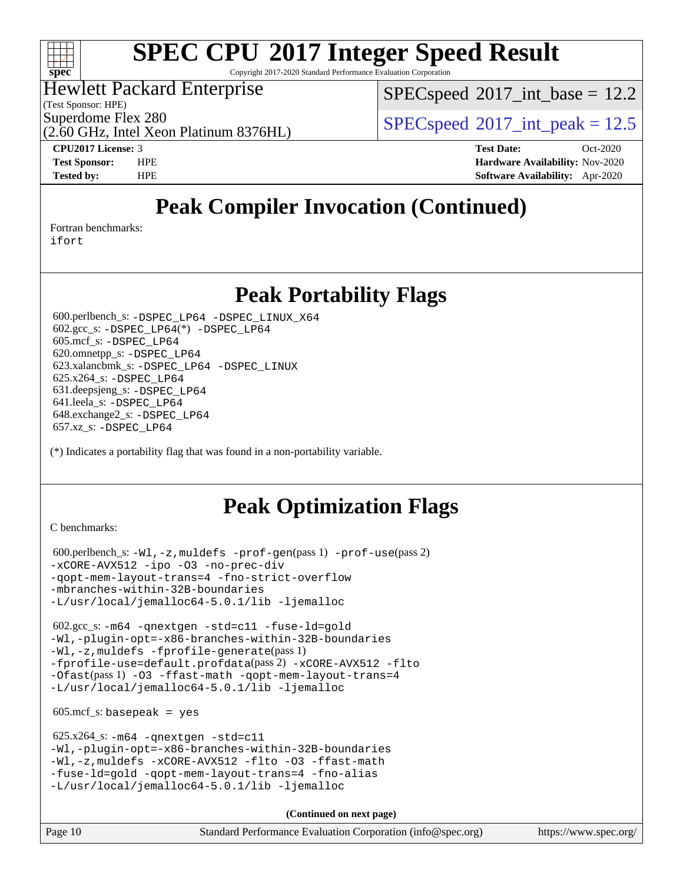

Copyright 2017-2020 Standard Performance Evaluation Corporation

## Hewlett Packard Enterprise

(Test Sponsor: HPE)

 $SPECspeed^{\circ}2017\_int\_base = 12.2$  $SPECspeed^{\circ}2017\_int\_base = 12.2$ 

Superdome Flex 280<br>  $SPEC speed^{\circ}2017$ \_int\_peak = 12.5

(2.60 GHz, Intel Xeon Platinum 8376HL)

**[CPU2017 License:](http://www.spec.org/auto/cpu2017/Docs/result-fields.html#CPU2017License)** 3 **[Test Date:](http://www.spec.org/auto/cpu2017/Docs/result-fields.html#TestDate)** Oct-2020 **[Test Sponsor:](http://www.spec.org/auto/cpu2017/Docs/result-fields.html#TestSponsor)** HPE **[Hardware Availability:](http://www.spec.org/auto/cpu2017/Docs/result-fields.html#HardwareAvailability)** Nov-2020 **[Tested by:](http://www.spec.org/auto/cpu2017/Docs/result-fields.html#Testedby)** HPE **[Software Availability:](http://www.spec.org/auto/cpu2017/Docs/result-fields.html#SoftwareAvailability)** Apr-2020

# **[Peak Compiler Invocation \(Continued\)](http://www.spec.org/auto/cpu2017/Docs/result-fields.html#PeakCompilerInvocation)**

[Fortran benchmarks](http://www.spec.org/auto/cpu2017/Docs/result-fields.html#Fortranbenchmarks):

[ifort](http://www.spec.org/cpu2017/results/res2020q4/cpu2017-20201123-24423.flags.html#user_FCpeak_intel_ifort_8111460550e3ca792625aed983ce982f94888b8b503583aa7ba2b8303487b4d8a21a13e7191a45c5fd58ff318f48f9492884d4413fa793fd88dd292cad7027ca)

## **[Peak Portability Flags](http://www.spec.org/auto/cpu2017/Docs/result-fields.html#PeakPortabilityFlags)**

 600.perlbench\_s: [-DSPEC\\_LP64](http://www.spec.org/cpu2017/results/res2020q4/cpu2017-20201123-24423.flags.html#b600.perlbench_s_peakPORTABILITY_DSPEC_LP64) [-DSPEC\\_LINUX\\_X64](http://www.spec.org/cpu2017/results/res2020q4/cpu2017-20201123-24423.flags.html#b600.perlbench_s_peakCPORTABILITY_DSPEC_LINUX_X64) 602.gcc\_s: [-DSPEC\\_LP64](http://www.spec.org/cpu2017/results/res2020q4/cpu2017-20201123-24423.flags.html#suite_peakCCLD602_gcc_s_DSPEC_LP64)(\*) [-DSPEC\\_LP64](http://www.spec.org/cpu2017/results/res2020q4/cpu2017-20201123-24423.flags.html#suite_peakPORTABILITY602_gcc_s_DSPEC_LP64) 605.mcf\_s: [-DSPEC\\_LP64](http://www.spec.org/cpu2017/results/res2020q4/cpu2017-20201123-24423.flags.html#suite_peakPORTABILITY605_mcf_s_DSPEC_LP64) 620.omnetpp\_s: [-DSPEC\\_LP64](http://www.spec.org/cpu2017/results/res2020q4/cpu2017-20201123-24423.flags.html#suite_peakPORTABILITY620_omnetpp_s_DSPEC_LP64) 623.xalancbmk\_s: [-DSPEC\\_LP64](http://www.spec.org/cpu2017/results/res2020q4/cpu2017-20201123-24423.flags.html#suite_peakPORTABILITY623_xalancbmk_s_DSPEC_LP64) [-DSPEC\\_LINUX](http://www.spec.org/cpu2017/results/res2020q4/cpu2017-20201123-24423.flags.html#b623.xalancbmk_s_peakCXXPORTABILITY_DSPEC_LINUX) 625.x264\_s: [-DSPEC\\_LP64](http://www.spec.org/cpu2017/results/res2020q4/cpu2017-20201123-24423.flags.html#suite_peakPORTABILITY625_x264_s_DSPEC_LP64) 631.deepsjeng\_s: [-DSPEC\\_LP64](http://www.spec.org/cpu2017/results/res2020q4/cpu2017-20201123-24423.flags.html#suite_peakPORTABILITY631_deepsjeng_s_DSPEC_LP64) 641.leela\_s: [-DSPEC\\_LP64](http://www.spec.org/cpu2017/results/res2020q4/cpu2017-20201123-24423.flags.html#suite_peakPORTABILITY641_leela_s_DSPEC_LP64) 648.exchange2\_s: [-DSPEC\\_LP64](http://www.spec.org/cpu2017/results/res2020q4/cpu2017-20201123-24423.flags.html#suite_peakPORTABILITY648_exchange2_s_DSPEC_LP64) 657.xz\_s: [-DSPEC\\_LP64](http://www.spec.org/cpu2017/results/res2020q4/cpu2017-20201123-24423.flags.html#suite_peakPORTABILITY657_xz_s_DSPEC_LP64)

(\*) Indicates a portability flag that was found in a non-portability variable.

# **[Peak Optimization Flags](http://www.spec.org/auto/cpu2017/Docs/result-fields.html#PeakOptimizationFlags)**

[C benchmarks](http://www.spec.org/auto/cpu2017/Docs/result-fields.html#Cbenchmarks):

```
 600.perlbench_s: -Wl,-z,muldefs -prof-gen(pass 1) -prof-use(pass 2)
-xCORE-AVX512 -ipo -O3 -no-prec-div
-qopt-mem-layout-trans=4 -fno-strict-overflow
-mbranches-within-32B-boundaries
-L/usr/local/jemalloc64-5.0.1/lib -ljemalloc
```
 602.gcc\_s: [-m64](http://www.spec.org/cpu2017/results/res2020q4/cpu2017-20201123-24423.flags.html#user_peakCCLD602_gcc_s_m64-icc) [-qnextgen](http://www.spec.org/cpu2017/results/res2020q4/cpu2017-20201123-24423.flags.html#user_peakCCLD602_gcc_s_f-qnextgen) [-std=c11](http://www.spec.org/cpu2017/results/res2020q4/cpu2017-20201123-24423.flags.html#user_peakCCLD602_gcc_s_std-icc-std_0e1c27790398a4642dfca32ffe6c27b5796f9c2d2676156f2e42c9c44eaad0c049b1cdb667a270c34d979996257aeb8fc440bfb01818dbc9357bd9d174cb8524) [-fuse-ld=gold](http://www.spec.org/cpu2017/results/res2020q4/cpu2017-20201123-24423.flags.html#user_peakCCLD602_gcc_s_f-fuse-ld_920b3586e2b8c6e0748b9c84fa9b744736ba725a32cab14ad8f3d4ad28eecb2f59d1144823d2e17006539a88734fe1fc08fc3035f7676166309105a78aaabc32) [-Wl,-plugin-opt=-x86-branches-within-32B-boundaries](http://www.spec.org/cpu2017/results/res2020q4/cpu2017-20201123-24423.flags.html#user_peakLDFLAGS602_gcc_s_f-x86-branches-within-32B-boundaries_0098b4e4317ae60947b7b728078a624952a08ac37a3c797dfb4ffeb399e0c61a9dd0f2f44ce917e9361fb9076ccb15e7824594512dd315205382d84209e912f3) [-Wl,-z,muldefs](http://www.spec.org/cpu2017/results/res2020q4/cpu2017-20201123-24423.flags.html#user_peakEXTRA_LDFLAGS602_gcc_s_link_force_multiple1_b4cbdb97b34bdee9ceefcfe54f4c8ea74255f0b02a4b23e853cdb0e18eb4525ac79b5a88067c842dd0ee6996c24547a27a4b99331201badda8798ef8a743f577) [-fprofile-generate](http://www.spec.org/cpu2017/results/res2020q4/cpu2017-20201123-24423.flags.html#user_peakPASS1_CFLAGSPASS1_LDFLAGS602_gcc_s_fprofile-generate)(pass 1) [-fprofile-use=default.profdata](http://www.spec.org/cpu2017/results/res2020q4/cpu2017-20201123-24423.flags.html#user_peakPASS2_CFLAGSPASS2_LDFLAGS602_gcc_s_fprofile-use_56aeee182b92ec249f9670f17c9b8e7d83fe2d25538e35a2cf64c434b579a2235a8b8fc66ef5678d24461366bbab9d486c870d8a72905233fc08e43eefe3cd80)(pass 2) [-xCORE-AVX512](http://www.spec.org/cpu2017/results/res2020q4/cpu2017-20201123-24423.flags.html#user_peakCOPTIMIZEPASS1_CFLAGSPASS1_LDFLAGS602_gcc_s_f-xCORE-AVX512) [-flto](http://www.spec.org/cpu2017/results/res2020q4/cpu2017-20201123-24423.flags.html#user_peakCOPTIMIZEPASS1_CFLAGSPASS1_LDFLAGS602_gcc_s_f-flto) [-Ofast](http://www.spec.org/cpu2017/results/res2020q4/cpu2017-20201123-24423.flags.html#user_peakPASS1_CFLAGSPASS1_LDFLAGS602_gcc_s_f-Ofast)(pass 1) [-O3](http://www.spec.org/cpu2017/results/res2020q4/cpu2017-20201123-24423.flags.html#user_peakCOPTIMIZE602_gcc_s_f-O3) [-ffast-math](http://www.spec.org/cpu2017/results/res2020q4/cpu2017-20201123-24423.flags.html#user_peakCOPTIMIZE602_gcc_s_f-ffast-math) [-qopt-mem-layout-trans=4](http://www.spec.org/cpu2017/results/res2020q4/cpu2017-20201123-24423.flags.html#user_peakCOPTIMIZE602_gcc_s_f-qopt-mem-layout-trans_fa39e755916c150a61361b7846f310bcdf6f04e385ef281cadf3647acec3f0ae266d1a1d22d972a7087a248fd4e6ca390a3634700869573d231a252c784941a8) [-L/usr/local/jemalloc64-5.0.1/lib](http://www.spec.org/cpu2017/results/res2020q4/cpu2017-20201123-24423.flags.html#user_peakEXTRA_LIBS602_gcc_s_jemalloc_link_path64_1_cc289568b1a6c0fd3b62c91b824c27fcb5af5e8098e6ad028160d21144ef1b8aef3170d2acf0bee98a8da324cfe4f67d0a3d0c4cc4673d993d694dc2a0df248b) [-ljemalloc](http://www.spec.org/cpu2017/results/res2020q4/cpu2017-20201123-24423.flags.html#user_peakEXTRA_LIBS602_gcc_s_jemalloc_link_lib_d1249b907c500fa1c0672f44f562e3d0f79738ae9e3c4a9c376d49f265a04b9c99b167ecedbf6711b3085be911c67ff61f150a17b3472be731631ba4d0471706)

 $605.\text{mcf}\text{ s}:$  basepeak = yes

```
 625.x264_s: -m64 -qnextgen -std=c11
-Wl,-plugin-opt=-x86-branches-within-32B-boundaries
-Wl,-z,muldefs -xCORE-AVX512 -flto -O3 -ffast-math
-fuse-ld=gold -qopt-mem-layout-trans=4 -fno-alias
-L/usr/local/jemalloc64-5.0.1/lib -ljemalloc
```
**(Continued on next page)**